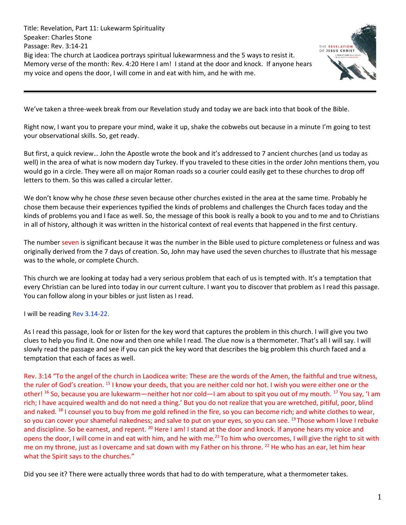Title: Revelation, Part 11: Lukewarm Spirituality Speaker: Charles Stone Passage: Rev. 3:14-21 Big idea: The church at Laodicea portrays spiritual lukewarmness and the 5 ways to resist it. Memory verse of the month: Rev. 4:20 Here I am! I stand at the door and knock. If anyone hears my voice and opens the door, I will come in and eat with him, and he with me.



We've taken a three-week break from our Revelation study and today we are back into that book of the Bible.

Right now, I want you to prepare your mind, wake it up, shake the cobwebs out because in a minute I'm going to test your observational skills. So, get ready.

But first, a quick review… John the Apostle wrote the book and it's addressed to 7 ancient churches (and us today as well) in the area of what is now modern day Turkey. If you traveled to these cities in the order John mentions them, you would go in a circle. They were all on major Roman roads so a courier could easily get to these churches to drop off letters to them. So this was called a circular letter.

We don't know why he chose *these* seven because other churches existed in the area at the same time. Probably he chose them because their experiences typified the kinds of problems and challenges the Church faces today and the kinds of problems you and I face as well. So, the message of this book is really a book to you and to me and to Christians in all of history, although it was written in the historical context of real events that happened in the first century.

The number seven is significant because it was the number in the Bible used to picture completeness or fulness and was originally derived from the 7 days of creation. So, John may have used the seven churches to illustrate that his message was to the whole, or complete Church.

This church we are looking at today had a very serious problem that each of us is tempted with. It's a temptation that every Christian can be lured into today in our current culture. I want you to discover that problem as I read this passage. You can follow along in your bibles or just listen as I read.

I will be reading Rev 3.14-22.

As I read this passage, look for or listen for the key word that captures the problem in this church. I will give you two clues to help you find it. One now and then one while I read. The clue now is a thermometer. That's all I will say. I will slowly read the passage and see if you can pick the key word that describes the big problem this church faced and a temptation that each of faces as well.

Rev. 3:14 "To the angel of the church in Laodicea write: These are the words of the Amen, the faithful and true witness, the ruler of God's creation. <sup>15</sup> I know your deeds, that you are neither cold nor hot. I wish you were either one or the other! <sup>16</sup> So, because you are lukewarm—neither hot nor cold—I am about to spit you out of my mouth. <sup>17</sup> You say, 'I am rich; I have acquired wealth and do not need a thing.' But you do not realize that you are wretched, pitiful, poor, blind and naked. <sup>18</sup> I counsel you to buy from me gold refined in the fire, so you can become rich; and white clothes to wear, so you can cover your shameful nakedness; and salve to put on your eyes, so you can see. <sup>19</sup>Those whom I love I rebuke and discipline. So be earnest, and repent. <sup>20</sup> Here I am! I stand at the door and knock. If anyone hears my voice and opens the door, I will come in and eat with him, and he with me.<sup>21</sup> To him who overcomes, I will give the right to sit with me on my throne, just as I overcame and sat down with my Father on his throne. <sup>22</sup> He who has an ear, let him hear what the Spirit says to the churches."

Did you see it? There were actually three words that had to do with temperature, what a thermometer takes.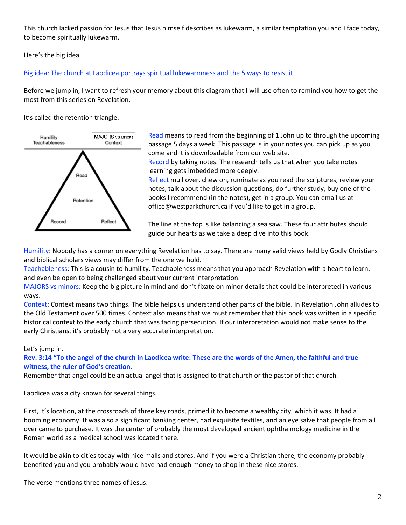This church lacked passion for Jesus that Jesus himself describes as lukewarm, a similar temptation you and I face today, to become spiritually lukewarm.

Here's the big idea.

# Big idea: The church at Laodicea portrays spiritual lukewarmness and the 5 ways to resist it.

Before we jump in, I want to refresh your memory about this diagram that I will use often to remind you how to get the most from this series on Revelation.

It's called the retention triangle.



Read means to read from the beginning of 1 John up to through the upcoming passage 5 days a week. This passage is in your notes you can pick up as you come and it is downloadable from our web site.

Record by taking notes. The research tells us that when you take notes learning gets imbedded more deeply.

Reflect mull over, chew on, ruminate as you read the scriptures, review your notes, talk about the discussion questions, do further study, buy one of the books I recommend (in the notes), get in a group. You can email us at [office@westparkchurch.ca](mailto:office@westparkchurch.ca) if you'd like to get in a group.

The line at the top is like balancing a sea saw. These four attributes should guide our hearts as we take a deep dive into this book.

Humility: Nobody has a corner on everything Revelation has to say. There are many valid views held by Godly Christians and biblical scholars views may differ from the one we hold.

Teachableness: This is a cousin to humility. Teachableness means that you approach Revelation with a heart to learn, and even be open to being challenged about your current interpretation.

MAJORS vs minors: Keep the big picture in mind and don't fixate on minor details that could be interpreted in various ways.

Context: Context means two things. The bible helps us understand other parts of the bible. In Revelation John alludes to the Old Testament over 500 times. Context also means that we must remember that this book was written in a specific historical context to the early church that was facing persecution. If our interpretation would not make sense to the early Christians, it's probably not a very accurate interpretation.

# Let's jump in.

# **Rev. 3:14 "To the angel of the church in Laodicea write: These are the words of the Amen, the faithful and true witness, the ruler of God's creation.**

Remember that angel could be an actual angel that is assigned to that church or the pastor of that church.

Laodicea was a city known for several things.

First, it's location, at the crossroads of three key roads, primed it to become a wealthy city, which it was. It had a booming economy. It was also a significant banking center, had exquisite textiles, and an eye salve that people from all over came to purchase. It was the center of probably the most developed ancient ophthalmology medicine in the Roman world as a medical school was located there.

It would be akin to cities today with nice malls and stores. And if you were a Christian there, the economy probably benefited you and you probably would have had enough money to shop in these nice stores.

The verse mentions three names of Jesus.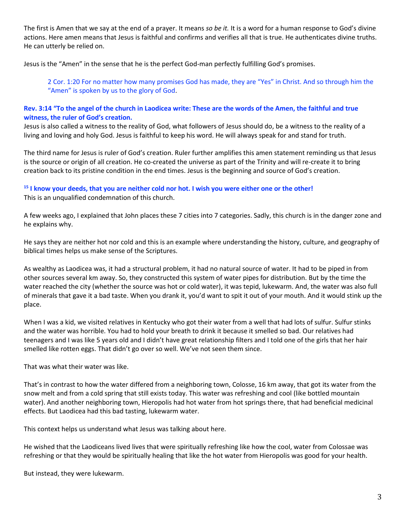The first is Amen that we say at the end of a prayer. It means *so be it.* It is a word for a human response to God's divine actions. Here amen means that Jesus is faithful and confirms and verifies all that is true. He authenticates divine truths. He can utterly be relied on.

Jesus is the "Amen" in the sense that he is the perfect God-man perfectly fulfilling God's promises.

2 Cor. 1:20 For no matter how many promises God has made, they are "Yes" in Christ. And so through him the "Amen" is spoken by us to the glory of God.

## **Rev. 3:14 "To the angel of the church in Laodicea write: These are the words of the Amen, the faithful and true witness, the ruler of God's creation.**

Jesus is also called a witness to the reality of God, what followers of Jesus should do, be a witness to the reality of a living and loving and holy God. Jesus is faithful to keep his word. He will always speak for and stand for truth.

The third name for Jesus is ruler of God's creation. Ruler further amplifies this amen statement reminding us that Jesus is the source or origin of all creation. He co-created the universe as part of the Trinity and will re-create it to bring creation back to its pristine condition in the end times. Jesus is the beginning and source of God's creation.

# **<sup>15</sup> I know your deeds, that you are neither cold nor hot. I wish you were either one or the other!**

This is an unqualified condemnation of this church.

A few weeks ago, I explained that John places these 7 cities into 7 categories. Sadly, this church is in the danger zone and he explains why.

He says they are neither hot nor cold and this is an example where understanding the history, culture, and geography of biblical times helps us make sense of the Scriptures.

As wealthy as Laodicea was, it had a structural problem, it had no natural source of water. It had to be piped in from other sources several km away. So, they constructed this system of water pipes for distribution. But by the time the water reached the city (whether the source was hot or cold water), it was tepid, lukewarm. And, the water was also full of minerals that gave it a bad taste. When you drank it, you'd want to spit it out of your mouth. And it would stink up the place.

When I was a kid, we visited relatives in Kentucky who got their water from a well that had lots of sulfur. Sulfur stinks and the water was horrible. You had to hold your breath to drink it because it smelled so bad. Our relatives had teenagers and I was like 5 years old and I didn't have great relationship filters and I told one of the girls that her hair smelled like rotten eggs. That didn't go over so well. We've not seen them since.

That was what their water was like.

That's in contrast to how the water differed from a neighboring town, Colosse, 16 km away, that got its water from the snow melt and from a cold spring that still exists today. This water was refreshing and cool (like bottled mountain water). And another neighboring town, Hieropolis had hot water from hot springs there, that had beneficial medicinal effects. But Laodicea had this bad tasting, lukewarm water.

This context helps us understand what Jesus was talking about here.

He wished that the Laodiceans lived lives that were spiritually refreshing like how the cool, water from Colossae was refreshing or that they would be spiritually healing that like the hot water from Hieropolis was good for your health.

But instead, they were lukewarm.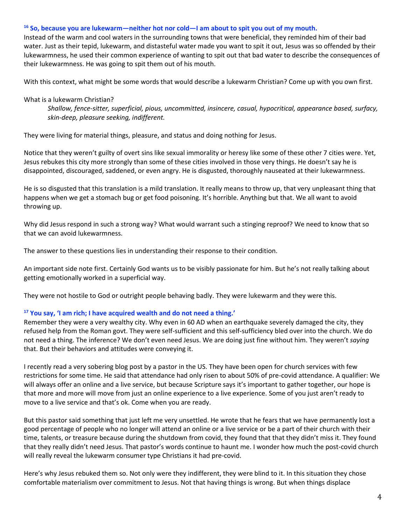#### **<sup>16</sup> So, because you are lukewarm—neither hot nor cold—I am about to spit you out of my mouth.**

Instead of the warm and cool waters in the surrounding towns that were beneficial, they reminded him of their bad water. Just as their tepid, lukewarm, and distasteful water made you want to spit it out, Jesus was so offended by their lukewarmness, he used their common experience of wanting to spit out that bad water to describe the consequences of their lukewarmness. He was going to spit them out of his mouth.

With this context, what might be some words that would describe a lukewarm Christian? Come up with you own first.

What is a lukewarm Christian?

*Shallow, fence-sitter, superficial, pious, uncommitted, insincere, casual, hypocritical, appearance based, surfacy, skin-deep, pleasure seeking, indifferent.*

They were living for material things, pleasure, and status and doing nothing for Jesus.

Notice that they weren't guilty of overt sins like sexual immorality or heresy like some of these other 7 cities were. Yet, Jesus rebukes this city more strongly than some of these cities involved in those very things. He doesn't say he is disappointed, discouraged, saddened, or even angry. He is disgusted, thoroughly nauseated at their lukewarmness.

He is so disgusted that this translation is a mild translation. It really means to throw up, that very unpleasant thing that happens when we get a stomach bug or get food poisoning. It's horrible. Anything but that. We all want to avoid throwing up.

Why did Jesus respond in such a strong way? What would warrant such a stinging reproof? We need to know that so that we can avoid lukewarmness.

The answer to these questions lies in understanding their response to their condition.

An important side note first. Certainly God wants us to be visibly passionate for him. But he's not really talking about getting emotionally worked in a superficial way.

They were not hostile to God or outright people behaving badly. They were lukewarm and they were this.

#### **<sup>17</sup> You say, 'I am rich; I have acquired wealth and do not need a thing.'**

Remember they were a very wealthy city. Why even in 60 AD when an earthquake severely damaged the city, they refused help from the Roman govt. They were self-sufficient and this self-sufficiency bled over into the church. We do not need a thing. The inference? We don't even need Jesus. We are doing just fine without him. They weren't *saying* that. But their behaviors and attitudes were conveying it.

I recently read a very sobering blog post by a pastor in the US. They have been open for church services with few restrictions for some time. He said that attendance had only risen to about 50% of pre-covid attendance. A qualifier: We will always offer an online and a live service, but because Scripture says it's important to gather together, our hope is that more and more will move from just an online experience to a live experience. Some of you just aren't ready to move to a live service and that's ok. Come when you are ready.

But this pastor said something that just left me very unsettled. He wrote that he fears that we have permanently lost a good percentage of people who no longer will attend an online or a live service or be a part of their church with their time, talents, or treasure because during the shutdown from covid, they found that that they didn't miss it. They found that they really didn't need Jesus. That pastor's words continue to haunt me. I wonder how much the post-covid church will really reveal the lukewarm consumer type Christians it had pre-covid.

Here's why Jesus rebuked them so. Not only were they indifferent, they were blind to it. In this situation they chose comfortable materialism over commitment to Jesus. Not that having things is wrong. But when things displace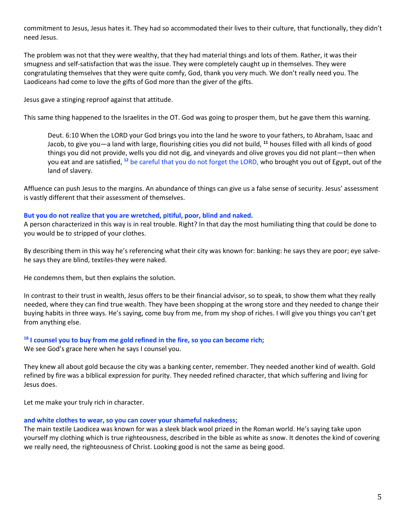commitment to Jesus, Jesus hates it. They had so accommodated their lives to their culture, that functionally, they didn't need Jesus.

The problem was not that they were wealthy, that they had material things and lots of them. Rather, it was their smugness and self-satisfaction that was the issue. They were completely caught up in themselves. They were congratulating themselves that they were quite comfy, God, thank you very much. We don't really need you. The Laodiceans had come to love the gifts of God more than the giver of the gifts.

Jesus gave a stinging reproof against that attitude.

This same thing happened to the Israelites in the OT. God was going to prosper them, but he gave them this warning.

Deut. 6:10 When the LORD your God brings you into the land he swore to your fathers, to Abraham, Isaac and Jacob, to give you—a land with large, flourishing cities you did not build, **<sup>11</sup>** houses filled with all kinds of good things you did not provide, wells you did not dig, and vineyards and olive groves you did not plant—then when you eat and are satisfied, **<sup>12</sup>** be careful that you do not forget the LORD, who brought you out of Egypt, out of the land of slavery.

Affluence can push Jesus to the margins. An abundance of things can give us a false sense of security. Jesus' assessment is vastly different that their assessment of themselves.

## **But you do not realize that you are wretched, pitiful, poor, blind and naked.**

A person characterized in this way is in real trouble. Right? In that day the most humiliating thing that could be done to you would be to stripped of your clothes.

By describing them in this way he's referencing what their city was known for: banking: he says they are poor; eye salvehe says they are blind, textiles-they were naked.

He condemns them, but then explains the solution.

In contrast to their trust in wealth, Jesus offers to be their financial advisor, so to speak, to show them what they really needed, where they can find true wealth. They have been shopping at the wrong store and they needed to change their buying habits in three ways. He's saying, come buy from me, from my shop of riches. I will give you things you can't get from anything else.

# **<sup>18</sup> I counsel you to buy from me gold refined in the fire, so you can become rich;**

We see God's grace here when he says I counsel you.

They knew all about gold because the city was a banking center, remember. They needed another kind of wealth. Gold refined by fire was a biblical expression for purity. They needed refined character, that which suffering and living for Jesus does.

Let me make your truly rich in character.

#### **and white clothes to wear, so you can cover your shameful nakedness;**

The main textile Laodicea was known for was a sleek black wool prized in the Roman world. He's saying take upon yourself my clothing which is true righteousness, described in the bible as white as snow. It denotes the kind of covering we really need, the righteousness of Christ. Looking good is not the same as being good.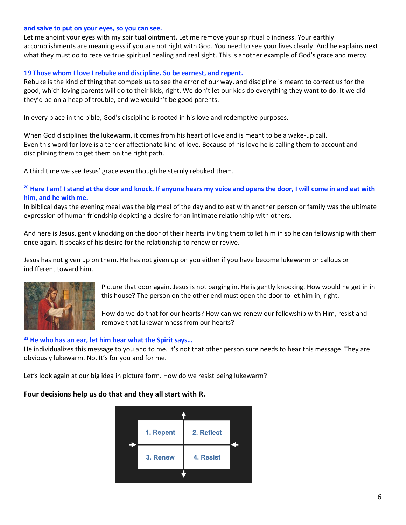#### **and salve to put on your eyes, so you can see.**

Let me anoint your eyes with my spiritual ointment. Let me remove your spiritual blindness. Your earthly accomplishments are meaningless if you are not right with God. You need to see your lives clearly. And he explains next what they must do to receive true spiritual healing and real sight. This is another example of God's grace and mercy.

#### **19 Those whom I love I rebuke and discipline. So be earnest, and repent.**

Rebuke is the kind of thing that compels us to see the error of our way, and discipline is meant to correct us for the good, which loving parents will do to their kids, right. We don't let our kids do everything they want to do. It we did they'd be on a heap of trouble, and we wouldn't be good parents.

In every place in the bible, God's discipline is rooted in his love and redemptive purposes.

When God disciplines the lukewarm, it comes from his heart of love and is meant to be a wake-up call. Even this word for love is a tender affectionate kind of love. Because of his love he is calling them to account and disciplining them to get them on the right path.

A third time we see Jesus' grace even though he sternly rebuked them.

#### **<sup>20</sup> Here I am! I stand at the door and knock. If anyone hears my voice and opens the door, I will come in and eat with him, and he with me.**

In biblical days the evening meal was the big meal of the day and to eat with another person or family was the ultimate expression of human friendship depicting a desire for an intimate relationship with others.

And here is Jesus, gently knocking on the door of their hearts inviting them to let him in so he can fellowship with them once again. It speaks of his desire for the relationship to renew or revive.

Jesus has not given up on them. He has not given up on you either if you have become lukewarm or callous or indifferent toward him.



Picture that door again. Jesus is not barging in. He is gently knocking. How would he get in in this house? The person on the other end must open the door to let him in, right.

How do we do that for our hearts? How can we renew our fellowship with Him, resist and remove that lukewarmness from our hearts?

#### **<sup>22</sup> He who has an ear, let him hear what the Spirit says…**

He individualizes this message to you and to me. It's not that other person sure needs to hear this message. They are obviously lukewarm. No. It's for you and for me.

Let's look again at our big idea in picture form. How do we resist being lukewarm?

#### **Four decisions help us do that and they all start with R.**

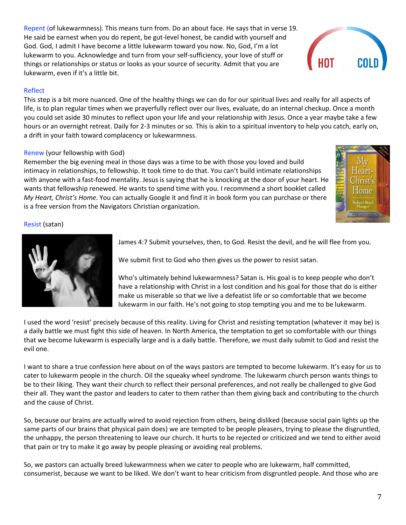Repent (of lukewarmness). This means turn from. Do an about face. He says that in verse 19. He said be earnest when you do repent, be gut-level honest, be candid with yourself and God. God, I admit I have become a little lukewarm toward you now. No, God, I'm a lot lukewarm to you. Acknowledge and turn from your self-sufficiency, your love of stuff or things or relationships or status or looks as your source of security. Admit that you are lukewarm, even if it's a little bit.

# Reflect

This step is a bit more nuanced. One of the healthy things we can do for our spiritual lives and really for all aspects of life, is to plan regular times when we prayerfully reflect over our lives, evaluate, do an internal checkup. Once a month you could set aside 30 minutes to reflect upon your life and your relationship with Jesus. Once a year maybe take a few hours or an overnight retreat. Daily for 2-3 minutes or so. This is akin to a spiritual inventory to help you catch, early on, a drift in your faith toward complacency or lukewarmness.

# Renew (your fellowship with God)

Remember the big evening meal in those days was a time to be with those you loved and build intimacy in relationships, to fellowship. It took time to do that. You can't build intimate relationships with anyone with a fast-food mentality. Jesus is saying that he is knocking at the door of your heart. He wants that fellowship renewed. He wants to spend time with you. I recommend a short booklet called *My Heart, Christ's Home*. You can actually Google it and find it in book form you can purchase or there is a free version from the Navigators Christian organization.

# Resist (satan)

James 4:7 Submit yourselves, then, to God. Resist the devil, and he will flee from you.

We submit first to God who then gives us the power to resist satan.

Who's ultimately behind lukewarmness? Satan is. His goal is to keep people who don't have a relationship with Christ in a lost condition and his goal for those that do is either make us miserable so that we live a defeatist life or so comfortable that we become lukewarm in our faith. He's not going to stop tempting you and me to be lukewarm.

I used the word 'resist' precisely because of this reality. Living for Christ and resisting temptation (whatever it may be) is a daily battle we must fight this side of heaven. In North America, the temptation to get so comfortable with our things that we become lukewarm is especially large and is a daily battle. Therefore, we must daily submit to God and resist the evil one.

I want to share a true confession here about on of the ways pastors are tempted to become lukewarm. It's easy for us to cater to lukewarm people in the church. Oil the squeaky wheel syndrome. The lukewarm church person wants things to be to their liking. They want their church to reflect their personal preferences, and not really be challenged to give God their all. They want the pastor and leaders to cater to them rather than them giving back and contributing to the church and the cause of Christ.

So, because our brains are actually wired to avoid rejection from others, being disliked (because social pain lights up the same parts of our brains that physical pain does) we are tempted to be people pleasers, trying to please the disgruntled, the unhappy, the person threatening to leave our church. It hurts to be rejected or criticized and we tend to either avoid that pain or try to make it go away by people pleasing or avoiding real problems.

So, we pastors can actually breed lukewarmness when we cater to people who are lukewarm, half committed, consumerist, because we want to be liked. We don't want to hear criticism from disgruntled people. And those who are